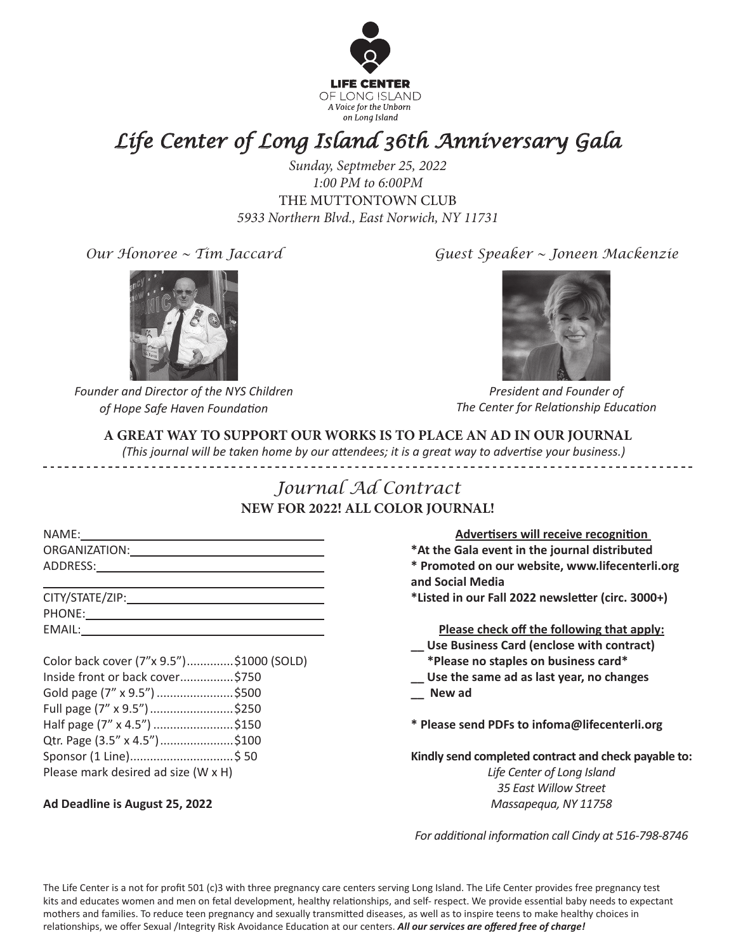

# *Life Center of Long Island 36th Anniversary Gala*

*Sunday, Septmeber 25, 2022 1:00 PM to 6:00PM*  THE MUTTONTOWN CLUB *5933 Northern Blvd., East Norwich, NY 11731*

*Our Honoree ~ Tim Jaccard*



*Founder and Director of the NYS Children of Hope Safe Haven Foundation*

*Guest Speaker ~ Joneen Mackenzie*



*President and Founder of The Center for Relationship Education*

### **A GREAT WAY TO SUPPORT OUR WORKS IS TO PLACE AN AD IN OUR JOURNAL**

 *(This journal will be taken home by our attendees; it is a great way to advertise your business.)*

### *Journal Ad Contract* **NEW FOR 2022! ALL COLOR JOURNAL!**

| Color back cover (7"x 9.5")\$1000 (SOLD) |  |
|------------------------------------------|--|
| Inside front or back cover\$750          |  |
| Gold page (7" x 9.5") \$500              |  |
| Full page (7" x 9.5") \$250              |  |
| Half page (7" x 4.5") \$150              |  |
| Qtr. Page (3.5" x 4.5")\$100             |  |
| Sponsor (1 Line) \$50                    |  |
| Please mark desired ad size (W x H)      |  |

#### **Ad Deadline is August 25, 2022**

**Advertisers will receive recognition \*At the Gala event in the journal distributed \* Promoted on our website, www.lifecenterli.org and Social Media \*Listed in our Fall 2022 newsletter (circ. 3000+) Please check off the following that apply: \_\_ Use Business Card (enclose with contract) \*Please no staples on business card\* \_\_ Use the same ad as last year, no changes \_\_ New ad \* Please send PDFs to infoma@lifecenterli.org Kindly send completed contract and check payable to:** *Life Center of Long Island 35 East Willow Street Massapequa, NY 11758*

*For additional information call Cindy at 516-798-8746*

The Life Center is a not for profit 501 (c)3 with three pregnancy care centers serving Long Island. The Life Center provides free pregnancy test kits and educates women and men on fetal development, healthy relationships, and self- respect. We provide essential baby needs to expectant mothers and families. To reduce teen pregnancy and sexually transmitted diseases, as well as to inspire teens to make healthy choices in relationships, we offer Sexual /Integrity Risk Avoidance Education at our centers. *All our services are offered free of charge!*